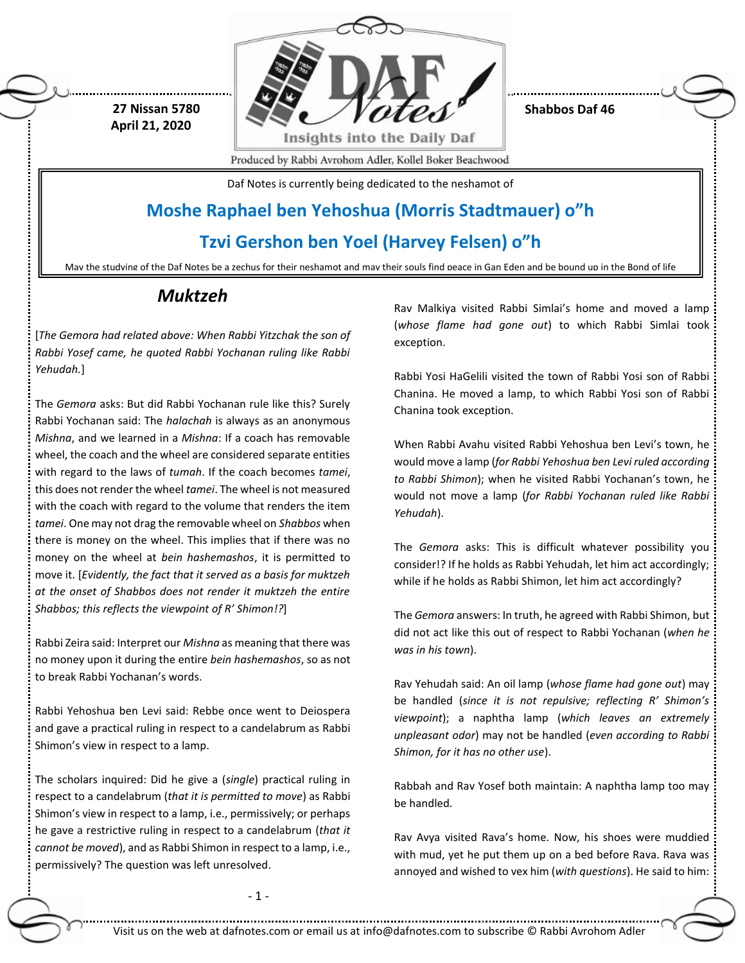

**Shabbos Daf 46**

Produced by Rabbi Avrohom Adler, Kollel Boker Beachwood

Daf Notes is currently being dedicated to the neshamot of

### **Moshe Raphael ben Yehoshua (Morris Stadtmauer) o"h**

### **Tzvi Gershon ben Yoel (Harvey Felsen) o"h**

May the studying of the Daf Notes be a zechus for their neshamot and may their souls find peace in Gan Eden and be bound up in the Bond of life

### *Muktzeh*

 **27 Nissan 5780 April 21, 2020**

[*The Gemora had related above: When Rabbi Yitzchak the son of Rabbi Yosef came, he quoted Rabbi Yochanan ruling like Rabbi Yehudah.*]

The *Gemora* asks: But did Rabbi Yochanan rule like this? Surely Rabbi Yochanan said: The *halachah* is always as an anonymous *Mishna*, and we learned in a *Mishna*: If a coach has removable wheel, the coach and the wheel are considered separate entities with regard to the laws of *tumah*. If the coach becomes *tamei*, this does not render the wheel *tamei*. The wheel is not measured with the coach with regard to the volume that renders the item *tamei*. One may not drag the removable wheel on *Shabbos* when there is money on the wheel. This implies that if there was no money on the wheel at *bein hashemashos*, it is permitted to move it. [*Evidently, the fact that it served as a basis for muktzeh at the onset of Shabbos does not render it muktzeh the entire Shabbos; this reflects the viewpoint of R' Shimon!?*]

Rabbi Zeira said: Interpret our *Mishna* as meaning that there was no money upon it during the entire *bein hashemashos*, so as not to break Rabbi Yochanan's words.

Rabbi Yehoshua ben Levi said: Rebbe once went to Deiospera and gave a practical ruling in respect to a candelabrum as Rabbi Shimon's view in respect to a lamp.

The scholars inquired: Did he give a (*single*) practical ruling in respect to a candelabrum (*that it is permitted to move*) as Rabbi Shimon's view in respect to a lamp, i.e., permissively; or perhaps he gave a restrictive ruling in respect to a candelabrum (*that it cannot be moved*), and as Rabbi Shimon in respect to a lamp, i.e., permissively? The question was left unresolved.

Rav Malkiya visited Rabbi Simlai's home and moved a lamp (*whose flame had gone out*) to which Rabbi Simlai took exception.

Rabbi Yosi HaGelili visited the town of Rabbi Yosi son of Rabbi Chanina. He moved a lamp, to which Rabbi Yosi son of Rabbi Chanina took exception.

When Rabbi Avahu visited Rabbi Yehoshua ben Levi's town, he would move a lamp (*for Rabbi Yehoshua ben Levi ruled according to Rabbi Shimon*); when he visited Rabbi Yochanan's town, he would not move a lamp (*for Rabbi Yochanan ruled like Rabbi Yehudah*).

The *Gemora* asks: This is difficult whatever possibility you consider!? If he holds as Rabbi Yehudah, let him act accordingly; while if he holds as Rabbi Shimon, let him act accordingly?

The *Gemora* answers: In truth, he agreed with Rabbi Shimon, but did not act like this out of respect to Rabbi Yochanan (*when he was in his town*).

Rav Yehudah said: An oil lamp (*whose flame had gone out*) may be handled (*since it is not repulsive; reflecting R' Shimon's viewpoint*); a naphtha lamp (*which leaves an extremely unpleasant odor*) may not be handled (*even according to Rabbi Shimon, for it has no other use*).

Rabbah and Rav Yosef both maintain: A naphtha lamp too may be handled.

Rav Avya visited Rava's home. Now, his shoes were muddied with mud, yet he put them up on a bed before Rava. Rava was annoyed and wished to vex him (*with questions*). He said to him:

- 1 -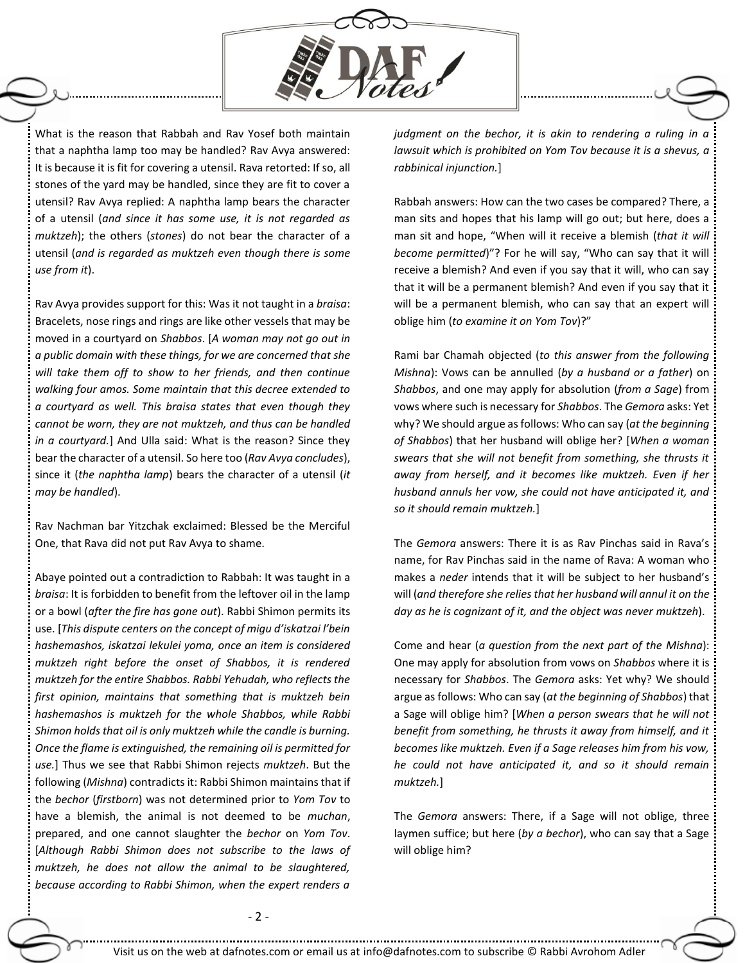

What is the reason that Rabbah and Rav Yosef both maintain that a naphtha lamp too may be handled? Rav Avya answered: It is because it is fit for covering a utensil. Rava retorted: If so, all stones of the yard may be handled, since they are fit to cover a utensil? Rav Avya replied: A naphtha lamp bears the character of a utensil (*and since it has some use, it is not regarded as muktzeh*); the others (*stones*) do not bear the character of a utensil (*and is regarded as muktzeh even though there is some use from it*).

Rav Avya provides support for this: Was it not taught in a *braisa*: Bracelets, nose rings and rings are like other vessels that may be moved in a courtyard on *Shabbos*. [*A woman may not go out in a public domain with these things, for we are concerned that she will take them off to show to her friends, and then continue walking four amos. Some maintain that this decree extended to a courtyard as well. This braisa states that even though they cannot be worn, they are not muktzeh, and thus can be handled in a courtyard.*] And Ulla said: What is the reason? Since they bear the character of a utensil. So here too (*Rav Avya concludes*), since it (*the naphtha lamp*) bears the character of a utensil (*it may be handled*).

Rav Nachman bar Yitzchak exclaimed: Blessed be the Merciful One, that Rava did not put Rav Avya to shame.

Abaye pointed out a contradiction to Rabbah: It was taught in a *braisa*: It is forbidden to benefit from the leftover oil in the lamp or a bowl (*after the fire has gone out*). Rabbi Shimon permits its use. [*This dispute centers on the concept of migu d'iskatzai l'bein hashemashos, iskatzai lekulei yoma, once an item is considered muktzeh right before the onset of Shabbos, it is rendered muktzeh for the entire Shabbos. Rabbi Yehudah, who reflects the first opinion, maintains that something that is muktzeh bein hashemashos is muktzeh for the whole Shabbos, while Rabbi Shimon holds that oil is only muktzeh while the candle is burning. Once the flame is extinguished, the remaining oil is permitted for use.*] Thus we see that Rabbi Shimon rejects *muktzeh*. But the following (*Mishna*) contradicts it: Rabbi Shimon maintains that if the *bechor* (*firstborn*) was not determined prior to *Yom Tov* to have a blemish, the animal is not deemed to be *muchan*, prepared, and one cannot slaughter the *bechor* on *Yom Tov*. [*Although Rabbi Shimon does not subscribe to the laws of muktzeh, he does not allow the animal to be slaughtered, because according to Rabbi Shimon, when the expert renders a* 

*judgment on the bechor, it is akin to rendering a ruling in a lawsuit which is prohibited on Yom Tov because it is a shevus, a rabbinical injunction.*]

Rabbah answers: How can the two cases be compared? There, a man sits and hopes that his lamp will go out; but here, does a man sit and hope, "When will it receive a blemish (*that it will become permitted*)"? For he will say, "Who can say that it will receive a blemish? And even if you say that it will, who can say that it will be a permanent blemish? And even if you say that it will be a permanent blemish, who can say that an expert will oblige him (*to examine it on Yom Tov*)?"

Rami bar Chamah objected (*to this answer from the following Mishna*): Vows can be annulled (*by a husband or a father*) on *Shabbos*, and one may apply for absolution (*from a Sage*) from vows where such is necessary for *Shabbos*. The *Gemora* asks: Yet why? We should argue as follows: Who can say (*at the beginning of Shabbos*) that her husband will oblige her? [*When a woman swears that she will not benefit from something, she thrusts it away from herself, and it becomes like muktzeh. Even if her husband annuls her vow, she could not have anticipated it, and so it should remain muktzeh.*]

The *Gemora* answers: There it is as Rav Pinchas said in Rava's name, for Rav Pinchas said in the name of Rava: A woman who makes a *neder* intends that it will be subject to her husband's will (*and therefore she relies that her husband will annul it on the day as he is cognizant of it, and the object was never muktzeh*).

Come and hear (*a question from the next part of the Mishna*): One may apply for absolution from vows on *Shabbos* where it is necessary for *Shabbos*. The *Gemora* asks: Yet why? We should argue as follows: Who can say (*at the beginning of Shabbos*) that a Sage will oblige him? [*When a person swears that he will not benefit from something, he thrusts it away from himself, and it becomes like muktzeh. Even if a Sage releases him from his vow, he could not have anticipated it, and so it should remain muktzeh.*]

The *Gemora* answers: There, if a Sage will not oblige, three laymen suffice; but here (*by a bechor*), who can say that a Sage will oblige him?

- 2 -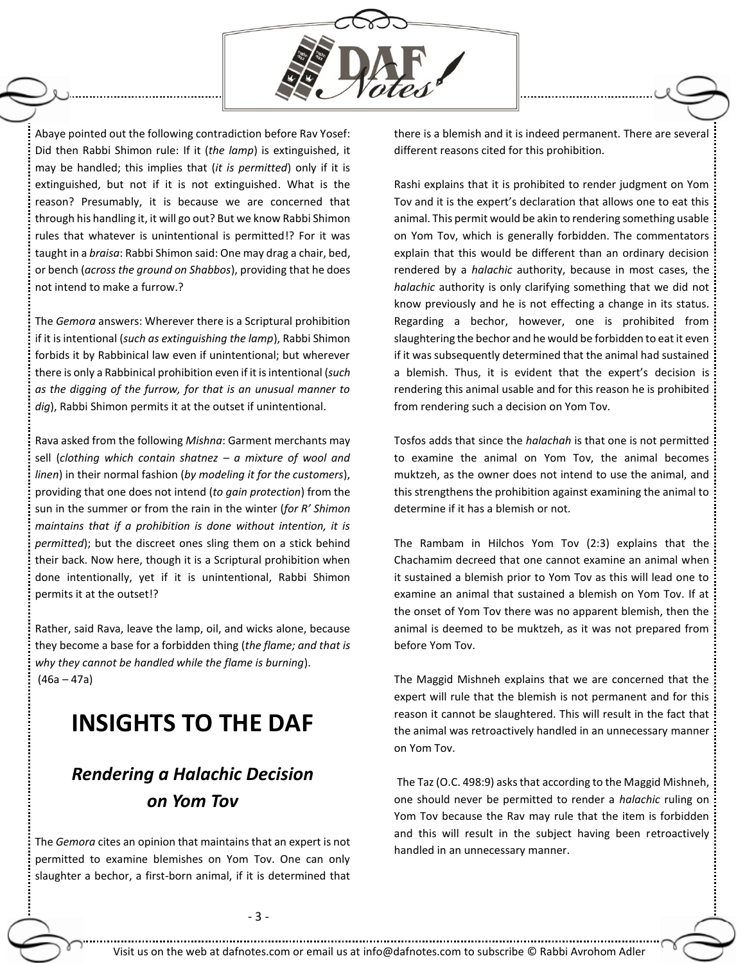

Abaye pointed out the following contradiction before Rav Yosef: Did then Rabbi Shimon rule: If it (*the lamp*) is extinguished, it may be handled; this implies that (*it is permitted*) only if it is extinguished, but not if it is not extinguished. What is the reason? Presumably, it is because we are concerned that through his handling it, it will go out? But we know Rabbi Shimon rules that whatever is unintentional is permitted!? For it was taught in a *braisa*: Rabbi Shimon said: One may drag a chair, bed, or bench (*across the ground on Shabbos*), providing that he does not intend to make a furrow.?

The *Gemora* answers: Wherever there is a Scriptural prohibition if it is intentional (*such as extinguishing the lamp*), Rabbi Shimon forbids it by Rabbinical law even if unintentional; but wherever there is only a Rabbinical prohibition even if it is intentional (*such as the digging of the furrow, for that is an unusual manner to dig*), Rabbi Shimon permits it at the outset if unintentional.

Rava asked from the following *Mishna*: Garment merchants may sell (*clothing which contain shatnez – a mixture of wool and linen*) in their normal fashion (*by modeling it for the customers*), providing that one does not intend (*to gain protection*) from the sun in the summer or from the rain in the winter (*for R' Shimon maintains that if a prohibition is done without intention, it is permitted*); but the discreet ones sling them on a stick behind their back. Now here, though it is a Scriptural prohibition when done intentionally, yet if it is unintentional, Rabbi Shimon permits it at the outset!?

Rather, said Rava, leave the lamp, oil, and wicks alone, because they become a base for a forbidden thing (*the flame; and that is why they cannot be handled while the flame is burning*).  $(46a - 47a)$ 

# **INSIGHTS TO THE DAF**

## *Rendering a Halachic Decision on Yom Tov*

The *Gemora* cites an opinion that maintains that an expert is not permitted to examine blemishes on Yom Tov. One can only slaughter a bechor, a first-born animal, if it is determined that there is a blemish and it is indeed permanent. There are several different reasons cited for this prohibition.

Rashi explains that it is prohibited to render judgment on Yom Tov and it is the expert's declaration that allows one to eat this animal. This permit would be akin to rendering something usable on Yom Tov, which is generally forbidden. The commentators explain that this would be different than an ordinary decision rendered by a *halachic* authority, because in most cases, the *halachic* authority is only clarifying something that we did not know previously and he is not effecting a change in its status. Regarding a bechor, however, one is prohibited from slaughtering the bechor and he would be forbidden to eat it even if it was subsequently determined that the animal had sustained a blemish. Thus, it is evident that the expert's decision is rendering this animal usable and for this reason he is prohibited from rendering such a decision on Yom Tov.

Tosfos adds that since the *halachah* is that one is not permitted to examine the animal on Yom Tov, the animal becomes muktzeh, as the owner does not intend to use the animal, and this strengthens the prohibition against examining the animal to determine if it has a blemish or not.

The Rambam in Hilchos Yom Tov (2:3) explains that the Chachamim decreed that one cannot examine an animal when it sustained a blemish prior to Yom Tov as this will lead one to examine an animal that sustained a blemish on Yom Tov. If at the onset of Yom Tov there was no apparent blemish, then the animal is deemed to be muktzeh, as it was not prepared from before Yom Tov.

The Maggid Mishneh explains that we are concerned that the expert will rule that the blemish is not permanent and for this reason it cannot be slaughtered. This will result in the fact that the animal was retroactively handled in an unnecessary manner on Yom Tov.

The Taz (O.C. 498:9) asks that according to the Maggid Mishneh, one should never be permitted to render a *halachic* ruling on Yom Tov because the Rav may rule that the item is forbidden and this will result in the subject having been retroactively handled in an unnecessary manner.